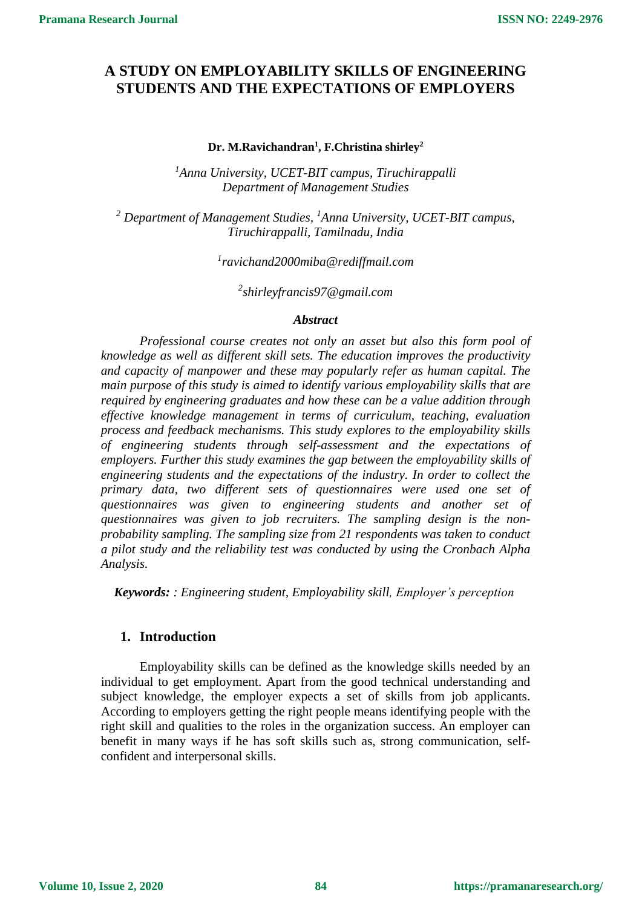# **A STUDY ON EMPLOYABILITY SKILLS OF ENGINEERING STUDENTS AND THE EXPECTATIONS OF EMPLOYERS**

#### **Dr. M.Ravichandran<sup>1</sup> , F.Christina shirley<sup>2</sup>**

*<sup>1</sup>Anna University, UCET-BIT campus, Tiruchirappalli Department of Management Studies*

*<sup>2</sup> Department of Management Studies, <sup>1</sup>Anna University, UCET-BIT campus, Tiruchirappalli, Tamilnadu, India*

*1 ravichand2000miba@rediffmail.com*

*2 shirleyfrancis97@gmail.com*

#### *Abstract*

*Professional course creates not only an asset but also this form pool of knowledge as well as different skill sets. The education improves the productivity and capacity of manpower and these may popularly refer as human capital. The main purpose of this study is aimed to identify various employability skills that are required by engineering graduates and how these can be a value addition through effective knowledge management in terms of curriculum, teaching, evaluation process and feedback mechanisms. This study explores to the employability skills of engineering students through self-assessment and the expectations of employers. Further this study examines the gap between the employability skills of engineering students and the expectations of the industry. In order to collect the primary data, two different sets of questionnaires were used one set of questionnaires was given to engineering students and another set of questionnaires was given to job recruiters. The sampling design is the nonprobability sampling. The sampling size from 21 respondents was taken to conduct a pilot study and the reliability test was conducted by using the Cronbach Alpha Analysis.*

*Keywords: : Engineering student, Employability skill, Employer's perception*

#### **1. Introduction**

Employability skills can be defined as the knowledge skills needed by an individual to get employment. Apart from the good technical understanding and subject knowledge, the employer expects a set of skills from job applicants. According to employers getting the right people means identifying people with the right skill and qualities to the roles in the organization success. An employer can benefit in many ways if he has soft skills such as, strong communication, selfconfident and interpersonal skills.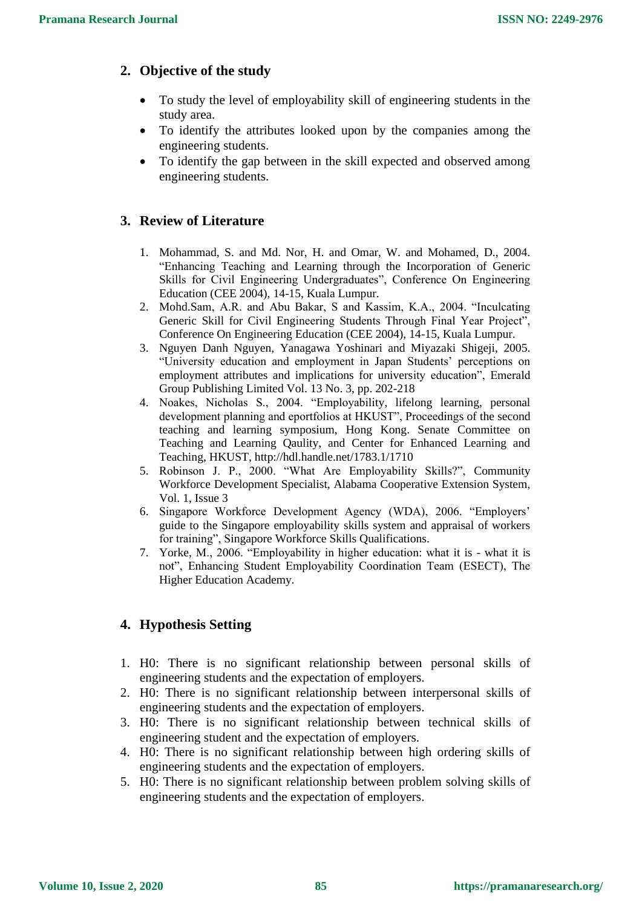## **2. Objective of the study**

- To study the level of employability skill of engineering students in the study area.
- To identify the attributes looked upon by the companies among the engineering students.
- To identify the gap between in the skill expected and observed among engineering students.

### **3. Review of Literature**

- 1. Mohammad, S. and Md. Nor, H. and Omar, W. and Mohamed, D., 2004. "Enhancing Teaching and Learning through the Incorporation of Generic Skills for Civil Engineering Undergraduates", Conference On Engineering Education (CEE 2004), 14-15, Kuala Lumpur.
- 2. Mohd.Sam, A.R. and Abu Bakar, S and Kassim, K.A., 2004. "Inculcating Generic Skill for Civil Engineering Students Through Final Year Project", Conference On Engineering Education (CEE 2004), 14-15, Kuala Lumpur.
- 3. Nguyen Danh Nguyen, Yanagawa Yoshinari and Miyazaki Shigeji, 2005. "University education and employment in Japan Students' perceptions on employment attributes and implications for university education", Emerald Group Publishing Limited Vol. 13 No. 3, pp. 202-218
- 4. Noakes, Nicholas S., 2004. "Employability, lifelong learning, personal development planning and eportfolios at HKUST", Proceedings of the second teaching and learning symposium, Hong Kong. Senate Committee on Teaching and Learning Qaulity, and Center for Enhanced Learning and Teaching, HKUST, http://hdl.handle.net/1783.1/1710
- 5. Robinson J. P., 2000. "What Are Employability Skills?", Community Workforce Development Specialist, Alabama Cooperative Extension System, Vol. 1, Issue 3
- 6. Singapore Workforce Development Agency (WDA), 2006. "Employers' guide to the Singapore employability skills system and appraisal of workers for training", Singapore Workforce Skills Qualifications.
- 7. Yorke, M., 2006. "Employability in higher education: what it is what it is not", Enhancing Student Employability Coordination Team (ESECT), The Higher Education Academy.

# **4. Hypothesis Setting**

- 1. H0: There is no significant relationship between personal skills of engineering students and the expectation of employers.
- 2. H0: There is no significant relationship between interpersonal skills of engineering students and the expectation of employers.
- 3. H0: There is no significant relationship between technical skills of engineering student and the expectation of employers.
- 4. H0: There is no significant relationship between high ordering skills of engineering students and the expectation of employers.
- 5. H0: There is no significant relationship between problem solving skills of engineering students and the expectation of employers.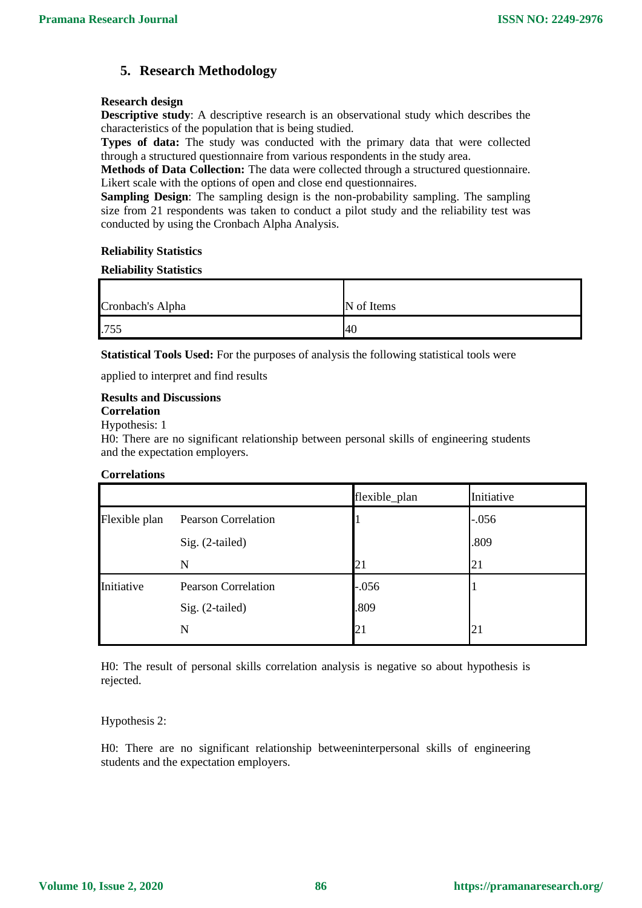## **5. Research Methodology**

#### **Research design**

**Descriptive study**: A descriptive research is an observational study which describes the characteristics of the population that is being studied.

**Types of data:** The study was conducted with the primary data that were collected through a structured questionnaire from various respondents in the study area.

**Methods of Data Collection:** The data were collected through a structured questionnaire. Likert scale with the options of open and close end questionnaires.

**Sampling Design**: The sampling design is the non-probability sampling. The sampling size from 21 respondents was taken to conduct a pilot study and the reliability test was conducted by using the Cronbach Alpha Analysis.

#### **Reliability Statistics**

#### **Reliability Statistics**

| Cronbach's Alpha | N of Items |
|------------------|------------|
| .755             | 40         |

**Statistical Tools Used:** For the purposes of analysis the following statistical tools were

applied to interpret and find results

#### **Results and Discussions**

**Correlation**

Hypothesis: 1

H0: There are no significant relationship between personal skills of engineering students and the expectation employers.

#### **Correlations**

|               |                            | flexible_plan | Initiative |
|---------------|----------------------------|---------------|------------|
| Flexible plan | <b>Pearson Correlation</b> |               | $-.056$    |
|               | Sig. (2-tailed)            |               | .809       |
|               | $\mathbf N$                | 21            | 21         |
| Initiative    | <b>Pearson Correlation</b> | $-0.056$      |            |
|               | Sig. (2-tailed)            | .809          |            |
|               | N                          | 21            | 21         |

H0: The result of personal skills correlation analysis is negative so about hypothesis is rejected.

#### Hypothesis 2:

H0: There are no significant relationship betweeninterpersonal skills of engineering students and the expectation employers.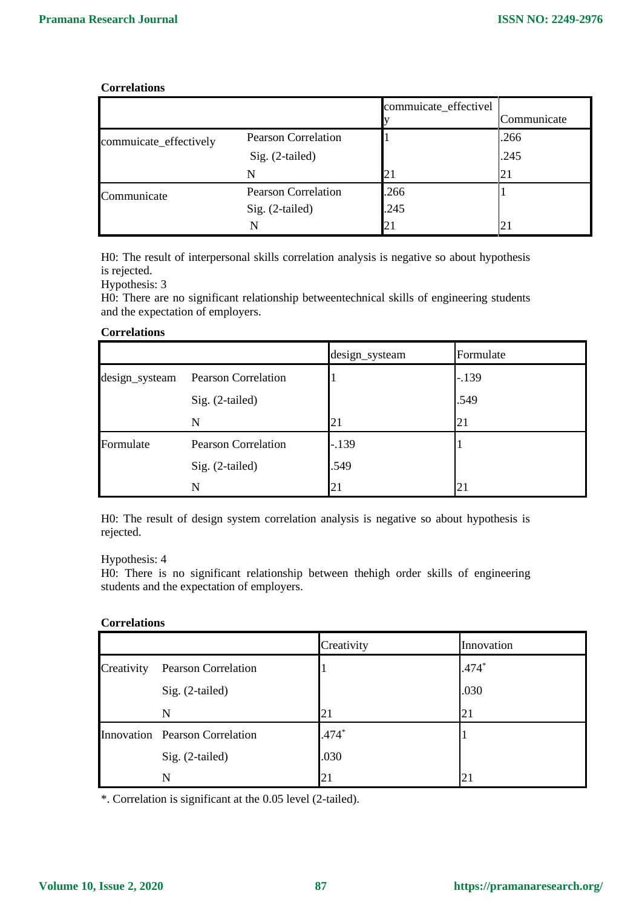#### **Correlations**

|                        |                            | commuicate_effectivel | Communicate |
|------------------------|----------------------------|-----------------------|-------------|
| commuicate_effectively | <b>Pearson Correlation</b> |                       | .266        |
|                        | $Sig. (2-tailed)$          |                       | .245        |
|                        | N                          |                       | 21          |
| Communicate            | <b>Pearson Correlation</b> | .266                  |             |
|                        | Sig. (2-tailed)            | .245                  |             |
|                        | N                          | 21                    | 21          |

H0: The result of interpersonal skills correlation analysis is negative so about hypothesis is rejected.

Hypothesis: 3

H0: There are no significant relationship betweentechnical skills of engineering students and the expectation of employers.

#### **Correlations**

|                |                            | design_systeam | Formulate |
|----------------|----------------------------|----------------|-----------|
| design_systeam | <b>Pearson Correlation</b> |                | $-.139$   |
|                | Sig. (2-tailed)            |                | .549      |
|                | N                          | 21             | 21        |
| Formulate      | <b>Pearson Correlation</b> | $-.139$        |           |
|                | Sig. (2-tailed)            | .549           |           |
|                | N                          | 21             | 21        |

H0: The result of design system correlation analysis is negative so about hypothesis is rejected.

#### Hypothesis: 4

H0: There is no significant relationship between thehigh order skills of engineering students and the expectation of employers.

#### **Correlations**

|            |                                | Creativity | Innovation |
|------------|--------------------------------|------------|------------|
| Creativity | Pearson Correlation            |            | $.474*$    |
|            | Sig. (2-tailed)                |            | .030       |
|            | N                              | 21         | 21         |
|            | Innovation Pearson Correlation | $.474*$    |            |
|            | Sig. (2-tailed)                | .030       |            |
|            | N                              | 21         | 21         |

\*. Correlation is significant at the 0.05 level (2-tailed).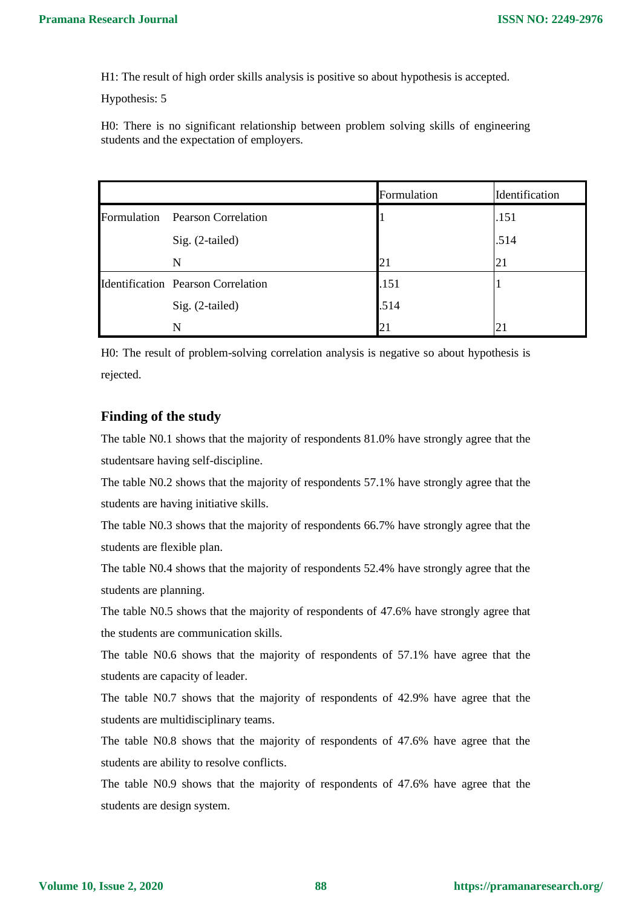H1: The result of high order skills analysis is positive so about hypothesis is accepted.

Hypothesis: 5

H0: There is no significant relationship between problem solving skills of engineering students and the expectation of employers.

|             |                                           | Formulation | Identification |
|-------------|-------------------------------------------|-------------|----------------|
| Formulation | <b>Pearson Correlation</b>                |             | .151           |
|             | Sig. (2-tailed)                           |             | .514           |
|             | N                                         | 21          | 21             |
|             | <b>Identification Pearson Correlation</b> | .151        |                |
|             | Sig. (2-tailed)                           | .514        |                |
|             | N                                         | 21          |                |

H0: The result of problem-solving correlation analysis is negative so about hypothesis is rejected.

#### **Finding of the study**

The table N0.1 shows that the majority of respondents 81.0% have strongly agree that the studentsare having self-discipline.

The table N0.2 shows that the majority of respondents 57.1% have strongly agree that the students are having initiative skills.

The table N0.3 shows that the majority of respondents 66.7% have strongly agree that the students are flexible plan.

The table N0.4 shows that the majority of respondents 52.4% have strongly agree that the students are planning.

The table N0.5 shows that the majority of respondents of 47.6% have strongly agree that the students are communication skills.

The table N0.6 shows that the majority of respondents of 57.1% have agree that the students are capacity of leader.

The table N0.7 shows that the majority of respondents of 42.9% have agree that the students are multidisciplinary teams.

The table N0.8 shows that the majority of respondents of 47.6% have agree that the students are ability to resolve conflicts.

The table N0.9 shows that the majority of respondents of 47.6% have agree that the students are design system.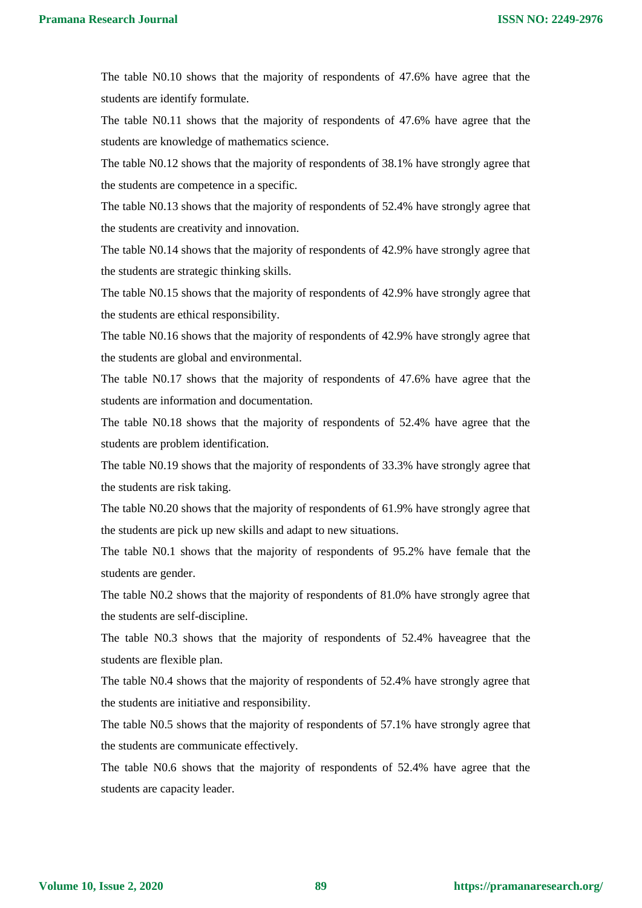The table N0.10 shows that the majority of respondents of 47.6% have agree that the students are identify formulate.

The table N0.11 shows that the majority of respondents of 47.6% have agree that the students are knowledge of mathematics science.

The table N0.12 shows that the majority of respondents of 38.1% have strongly agree that the students are competence in a specific.

The table N0.13 shows that the majority of respondents of 52.4% have strongly agree that the students are creativity and innovation.

The table N0.14 shows that the majority of respondents of 42.9% have strongly agree that the students are strategic thinking skills.

The table N0.15 shows that the majority of respondents of 42.9% have strongly agree that the students are ethical responsibility.

The table N0.16 shows that the majority of respondents of 42.9% have strongly agree that the students are global and environmental.

The table N0.17 shows that the majority of respondents of 47.6% have agree that the students are information and documentation.

The table N0.18 shows that the majority of respondents of 52.4% have agree that the students are problem identification.

The table N0.19 shows that the majority of respondents of 33.3% have strongly agree that the students are risk taking.

The table N0.20 shows that the majority of respondents of 61.9% have strongly agree that the students are pick up new skills and adapt to new situations.

The table N0.1 shows that the majority of respondents of 95.2% have female that the students are gender.

The table N0.2 shows that the majority of respondents of 81.0% have strongly agree that the students are self-discipline.

The table N0.3 shows that the majority of respondents of 52.4% haveagree that the students are flexible plan.

The table N0.4 shows that the majority of respondents of 52.4% have strongly agree that the students are initiative and responsibility.

The table N0.5 shows that the majority of respondents of 57.1% have strongly agree that the students are communicate effectively.

The table N0.6 shows that the majority of respondents of 52.4% have agree that the students are capacity leader.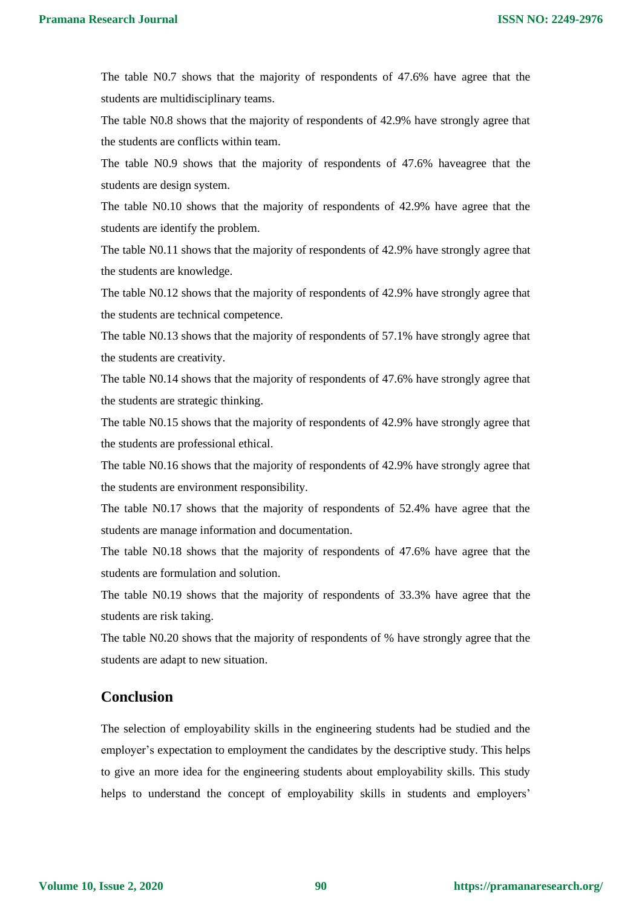The table N0.7 shows that the majority of respondents of 47.6% have agree that the students are multidisciplinary teams.

The table N0.8 shows that the majority of respondents of 42.9% have strongly agree that the students are conflicts within team.

The table N0.9 shows that the majority of respondents of 47.6% haveagree that the students are design system.

The table N0.10 shows that the majority of respondents of 42.9% have agree that the students are identify the problem.

The table N0.11 shows that the majority of respondents of 42.9% have strongly agree that the students are knowledge.

The table N0.12 shows that the majority of respondents of 42.9% have strongly agree that the students are technical competence.

The table N0.13 shows that the majority of respondents of 57.1% have strongly agree that the students are creativity.

The table N0.14 shows that the majority of respondents of 47.6% have strongly agree that the students are strategic thinking.

The table N0.15 shows that the majority of respondents of 42.9% have strongly agree that the students are professional ethical.

The table N0.16 shows that the majority of respondents of 42.9% have strongly agree that the students are environment responsibility.

The table N0.17 shows that the majority of respondents of 52.4% have agree that the students are manage information and documentation.

The table N0.18 shows that the majority of respondents of 47.6% have agree that the students are formulation and solution.

The table N0.19 shows that the majority of respondents of 33.3% have agree that the students are risk taking.

The table N0.20 shows that the majority of respondents of % have strongly agree that the students are adapt to new situation.

### **Conclusion**

The selection of employability skills in the engineering students had be studied and the employer's expectation to employment the candidates by the descriptive study. This helps to give an more idea for the engineering students about employability skills. This study helps to understand the concept of employability skills in students and employers'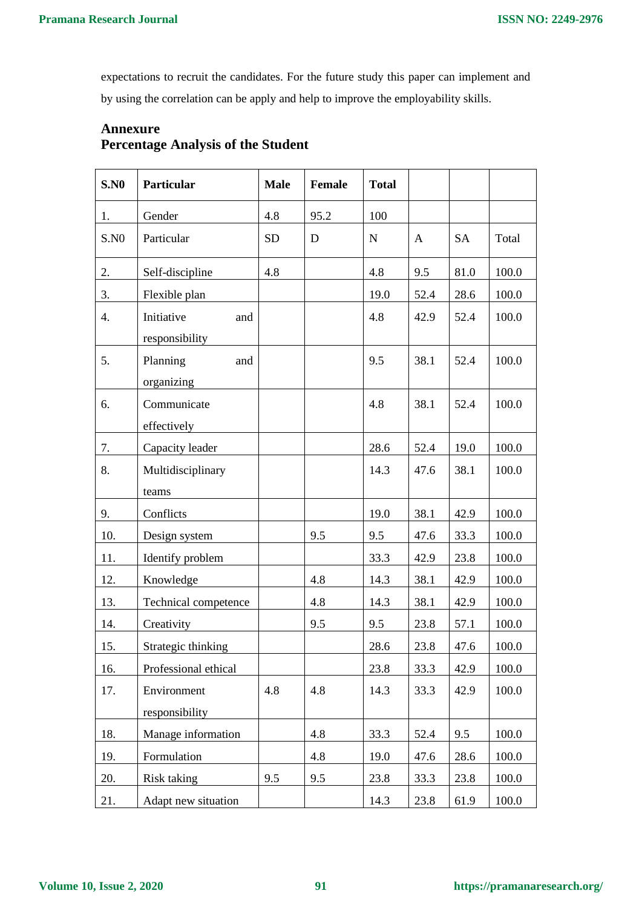expectations to recruit the candidates. For the future study this paper can implement and by using the correlation can be apply and help to improve the employability skills.

# **Annexure Percentage Analysis of the Student**

| S.N0 | Particular                          | <b>Male</b> | <b>Female</b> | <b>Total</b> |              |           |       |
|------|-------------------------------------|-------------|---------------|--------------|--------------|-----------|-------|
| 1.   | Gender                              | 4.8         | 95.2          | 100          |              |           |       |
| S.N0 | Particular                          | <b>SD</b>   | D             | ${\bf N}$    | $\mathbf{A}$ | <b>SA</b> | Total |
| 2.   | Self-discipline                     | 4.8         |               | 4.8          | 9.5          | 81.0      | 100.0 |
| 3.   | Flexible plan                       |             |               | 19.0         | 52.4         | 28.6      | 100.0 |
| 4.   | Initiative<br>and<br>responsibility |             |               | 4.8          | 42.9         | 52.4      | 100.0 |
| 5.   | Planning<br>and<br>organizing       |             |               | 9.5          | 38.1         | 52.4      | 100.0 |
| 6.   | Communicate<br>effectively          |             |               | 4.8          | 38.1         | 52.4      | 100.0 |
| 7.   | Capacity leader                     |             |               | 28.6         | 52.4         | 19.0      | 100.0 |
| 8.   | Multidisciplinary<br>teams          |             |               | 14.3         | 47.6         | 38.1      | 100.0 |
| 9.   | Conflicts                           |             |               | 19.0         | 38.1         | 42.9      | 100.0 |
| 10.  | Design system                       |             | 9.5           | 9.5          | 47.6         | 33.3      | 100.0 |
| 11.  | Identify problem                    |             |               | 33.3         | 42.9         | 23.8      | 100.0 |
| 12.  | Knowledge                           |             | 4.8           | 14.3         | 38.1         | 42.9      | 100.0 |
| 13.  | Technical competence                |             | 4.8           | 14.3         | 38.1         | 42.9      | 100.0 |
| 14.  | Creativity                          |             | 9.5           | 9.5          | 23.8         | 57.1      | 100.0 |
| 15.  | Strategic thinking                  |             |               | 28.6         | 23.8         | 47.6      | 100.0 |
| 16.  | Professional ethical                |             |               | 23.8         | 33.3         | 42.9      | 100.0 |
| 17.  | Environment<br>responsibility       | 4.8         | 4.8           | 14.3         | 33.3         | 42.9      | 100.0 |
| 18.  | Manage information                  |             | 4.8           | 33.3         | 52.4         | 9.5       | 100.0 |
| 19.  | Formulation                         |             | 4.8           | 19.0         | 47.6         | 28.6      | 100.0 |
| 20.  | Risk taking                         | 9.5         | 9.5           | 23.8         | 33.3         | 23.8      | 100.0 |
| 21.  | Adapt new situation                 |             |               | 14.3         | 23.8         | 61.9      | 100.0 |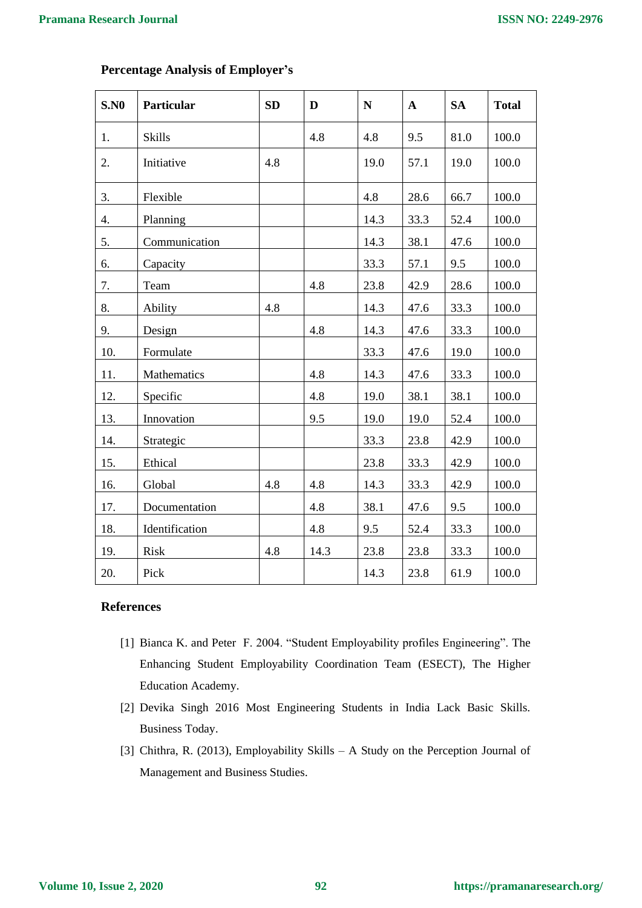٦

 $\mathsf{r}$ 

| S.N0 | Particular     | SD  | D    | ${\bf N}$ | ${\bf A}$ | <b>SA</b> | <b>Total</b> |
|------|----------------|-----|------|-----------|-----------|-----------|--------------|
| 1.   | <b>Skills</b>  |     | 4.8  | 4.8       | 9.5       | 81.0      | 100.0        |
| 2.   | Initiative     | 4.8 |      | 19.0      | 57.1      | 19.0      | 100.0        |
| 3.   | Flexible       |     |      | 4.8       | 28.6      | 66.7      | 100.0        |
| 4.   | Planning       |     |      | 14.3      | 33.3      | 52.4      | 100.0        |
| 5.   | Communication  |     |      | 14.3      | 38.1      | 47.6      | 100.0        |
| 6.   | Capacity       |     |      | 33.3      | 57.1      | 9.5       | 100.0        |
| 7.   | Team           |     | 4.8  | 23.8      | 42.9      | 28.6      | 100.0        |
| 8.   | Ability        | 4.8 |      | 14.3      | 47.6      | 33.3      | 100.0        |
| 9.   | Design         |     | 4.8  | 14.3      | 47.6      | 33.3      | 100.0        |
| 10.  | Formulate      |     |      | 33.3      | 47.6      | 19.0      | 100.0        |
| 11.  | Mathematics    |     | 4.8  | 14.3      | 47.6      | 33.3      | 100.0        |
| 12.  | Specific       |     | 4.8  | 19.0      | 38.1      | 38.1      | 100.0        |
| 13.  | Innovation     |     | 9.5  | 19.0      | 19.0      | 52.4      | 100.0        |
| 14.  | Strategic      |     |      | 33.3      | 23.8      | 42.9      | 100.0        |
| 15.  | Ethical        |     |      | 23.8      | 33.3      | 42.9      | 100.0        |
| 16.  | Global         | 4.8 | 4.8  | 14.3      | 33.3      | 42.9      | 100.0        |
| 17.  | Documentation  |     | 4.8  | 38.1      | 47.6      | 9.5       | 100.0        |
| 18.  | Identification |     | 4.8  | 9.5       | 52.4      | 33.3      | 100.0        |
| 19.  | Risk           | 4.8 | 14.3 | 23.8      | 23.8      | 33.3      | 100.0        |
| 20.  | Pick           |     |      | 14.3      | 23.8      | 61.9      | 100.0        |

 $\overline{\mathsf{T}}$ 

### **Percentage Analysis of Employer's**

#### **References**

- [1] Bianca K. and Peter F. 2004. "Student Employability profiles Engineering". The Enhancing Student Employability Coordination Team (ESECT), The Higher Education Academy.
- [2] Devika Singh 2016 Most Engineering Students in India Lack Basic Skills. Business Today.
- [3] Chithra, R. (2013), Employability Skills A Study on the Perception Journal of Management and Business Studies.